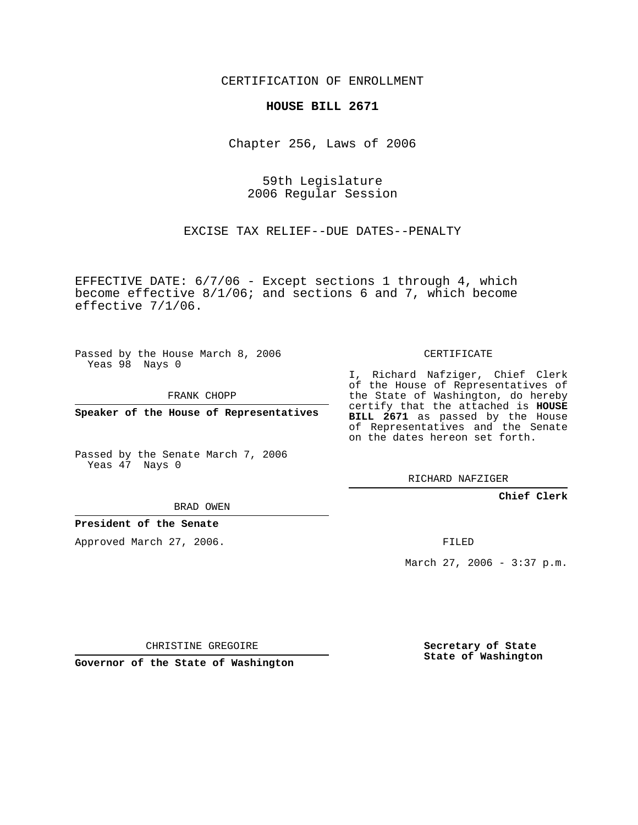CERTIFICATION OF ENROLLMENT

### **HOUSE BILL 2671**

Chapter 256, Laws of 2006

59th Legislature 2006 Regular Session

EXCISE TAX RELIEF--DUE DATES--PENALTY

EFFECTIVE DATE: 6/7/06 - Except sections 1 through 4, which become effective 8/1/06; and sections 6 and 7, which become effective 7/1/06.

Passed by the House March 8, 2006 Yeas 98 Nays 0

FRANK CHOPP

**Speaker of the House of Representatives**

Passed by the Senate March 7, 2006 Yeas 47 Nays 0

CERTIFICATE

I, Richard Nafziger, Chief Clerk of the House of Representatives of the State of Washington, do hereby certify that the attached is **HOUSE BILL 2671** as passed by the House of Representatives and the Senate on the dates hereon set forth.

RICHARD NAFZIGER

**Chief Clerk**

### BRAD OWEN

### **President of the Senate**

Approved March 27, 2006.

FILED

March 27, 2006 - 3:37 p.m.

CHRISTINE GREGOIRE

**Governor of the State of Washington**

**Secretary of State State of Washington**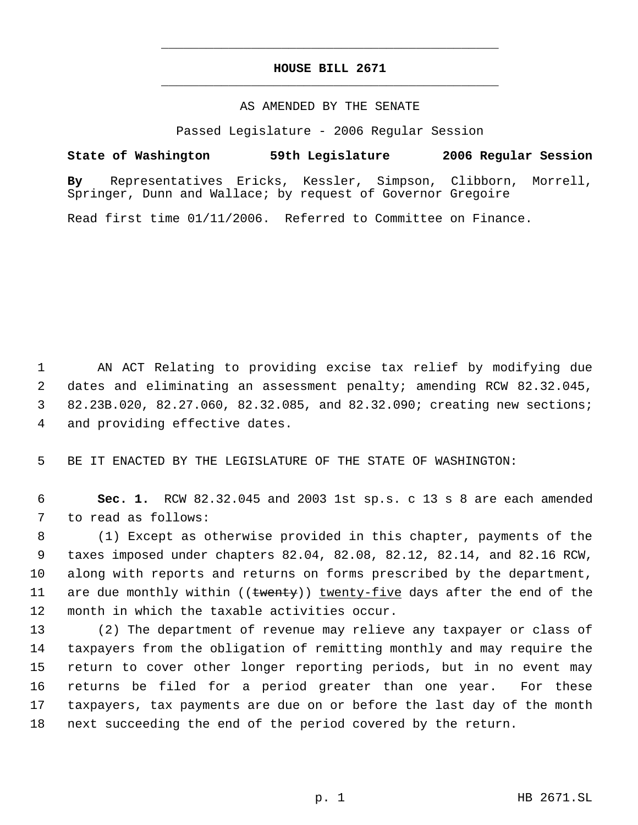# **HOUSE BILL 2671** \_\_\_\_\_\_\_\_\_\_\_\_\_\_\_\_\_\_\_\_\_\_\_\_\_\_\_\_\_\_\_\_\_\_\_\_\_\_\_\_\_\_\_\_\_

\_\_\_\_\_\_\_\_\_\_\_\_\_\_\_\_\_\_\_\_\_\_\_\_\_\_\_\_\_\_\_\_\_\_\_\_\_\_\_\_\_\_\_\_\_

## AS AMENDED BY THE SENATE

Passed Legislature - 2006 Regular Session

# **State of Washington 59th Legislature 2006 Regular Session**

**By** Representatives Ericks, Kessler, Simpson, Clibborn, Morrell, Springer, Dunn and Wallace; by request of Governor Gregoire

Read first time 01/11/2006. Referred to Committee on Finance.

 AN ACT Relating to providing excise tax relief by modifying due dates and eliminating an assessment penalty; amending RCW 82.32.045, 82.23B.020, 82.27.060, 82.32.085, and 82.32.090; creating new sections; and providing effective dates.

BE IT ENACTED BY THE LEGISLATURE OF THE STATE OF WASHINGTON:

 **Sec. 1.** RCW 82.32.045 and 2003 1st sp.s. c 13 s 8 are each amended to read as follows:

 (1) Except as otherwise provided in this chapter, payments of the taxes imposed under chapters 82.04, 82.08, 82.12, 82.14, and 82.16 RCW, along with reports and returns on forms prescribed by the department, 11 are due monthly within ((twenty)) twenty-five days after the end of the month in which the taxable activities occur.

 (2) The department of revenue may relieve any taxpayer or class of taxpayers from the obligation of remitting monthly and may require the return to cover other longer reporting periods, but in no event may returns be filed for a period greater than one year. For these taxpayers, tax payments are due on or before the last day of the month next succeeding the end of the period covered by the return.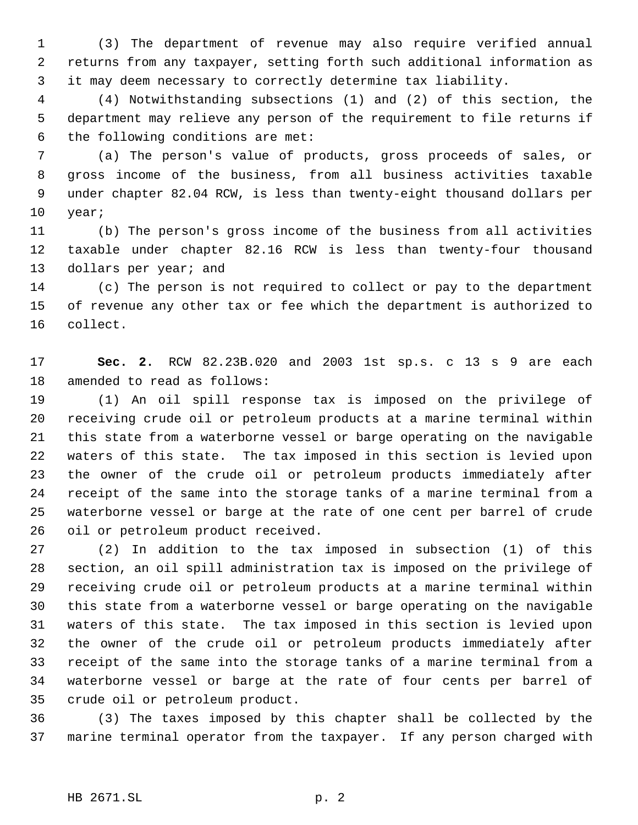(3) The department of revenue may also require verified annual returns from any taxpayer, setting forth such additional information as it may deem necessary to correctly determine tax liability.

 (4) Notwithstanding subsections (1) and (2) of this section, the department may relieve any person of the requirement to file returns if the following conditions are met:

 (a) The person's value of products, gross proceeds of sales, or gross income of the business, from all business activities taxable under chapter 82.04 RCW, is less than twenty-eight thousand dollars per year;

 (b) The person's gross income of the business from all activities taxable under chapter 82.16 RCW is less than twenty-four thousand 13 dollars per year; and

 (c) The person is not required to collect or pay to the department of revenue any other tax or fee which the department is authorized to collect.

 **Sec. 2.** RCW 82.23B.020 and 2003 1st sp.s. c 13 s 9 are each amended to read as follows:

 (1) An oil spill response tax is imposed on the privilege of receiving crude oil or petroleum products at a marine terminal within this state from a waterborne vessel or barge operating on the navigable waters of this state. The tax imposed in this section is levied upon the owner of the crude oil or petroleum products immediately after receipt of the same into the storage tanks of a marine terminal from a waterborne vessel or barge at the rate of one cent per barrel of crude oil or petroleum product received.

 (2) In addition to the tax imposed in subsection (1) of this section, an oil spill administration tax is imposed on the privilege of receiving crude oil or petroleum products at a marine terminal within this state from a waterborne vessel or barge operating on the navigable waters of this state. The tax imposed in this section is levied upon the owner of the crude oil or petroleum products immediately after receipt of the same into the storage tanks of a marine terminal from a waterborne vessel or barge at the rate of four cents per barrel of crude oil or petroleum product.

 (3) The taxes imposed by this chapter shall be collected by the marine terminal operator from the taxpayer. If any person charged with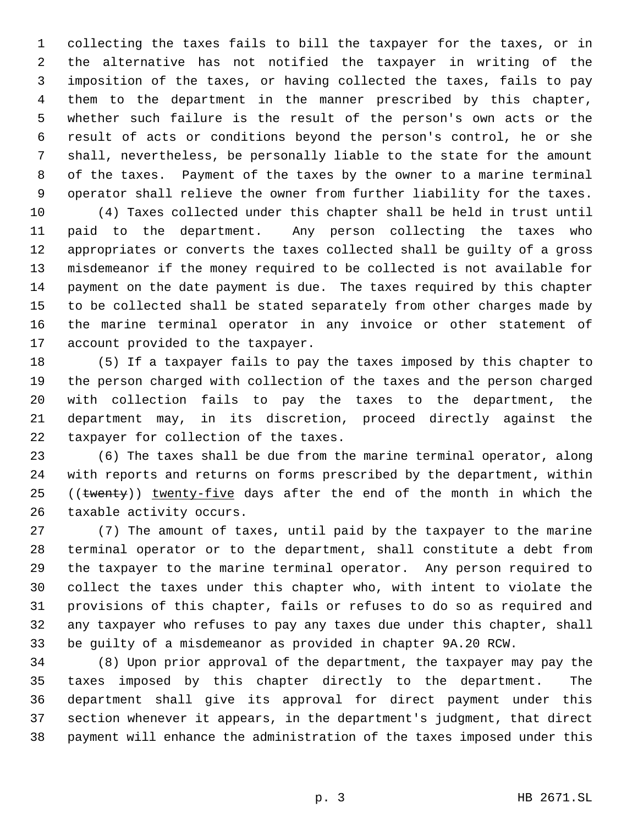collecting the taxes fails to bill the taxpayer for the taxes, or in the alternative has not notified the taxpayer in writing of the imposition of the taxes, or having collected the taxes, fails to pay them to the department in the manner prescribed by this chapter, whether such failure is the result of the person's own acts or the result of acts or conditions beyond the person's control, he or she shall, nevertheless, be personally liable to the state for the amount of the taxes. Payment of the taxes by the owner to a marine terminal operator shall relieve the owner from further liability for the taxes.

 (4) Taxes collected under this chapter shall be held in trust until paid to the department. Any person collecting the taxes who appropriates or converts the taxes collected shall be guilty of a gross misdemeanor if the money required to be collected is not available for payment on the date payment is due. The taxes required by this chapter to be collected shall be stated separately from other charges made by the marine terminal operator in any invoice or other statement of account provided to the taxpayer.

 (5) If a taxpayer fails to pay the taxes imposed by this chapter to the person charged with collection of the taxes and the person charged with collection fails to pay the taxes to the department, the department may, in its discretion, proceed directly against the taxpayer for collection of the taxes.

 (6) The taxes shall be due from the marine terminal operator, along with reports and returns on forms prescribed by the department, within 25 ((twenty)) twenty-five days after the end of the month in which the taxable activity occurs.

 (7) The amount of taxes, until paid by the taxpayer to the marine terminal operator or to the department, shall constitute a debt from the taxpayer to the marine terminal operator. Any person required to collect the taxes under this chapter who, with intent to violate the provisions of this chapter, fails or refuses to do so as required and any taxpayer who refuses to pay any taxes due under this chapter, shall be guilty of a misdemeanor as provided in chapter 9A.20 RCW.

 (8) Upon prior approval of the department, the taxpayer may pay the taxes imposed by this chapter directly to the department. The department shall give its approval for direct payment under this section whenever it appears, in the department's judgment, that direct payment will enhance the administration of the taxes imposed under this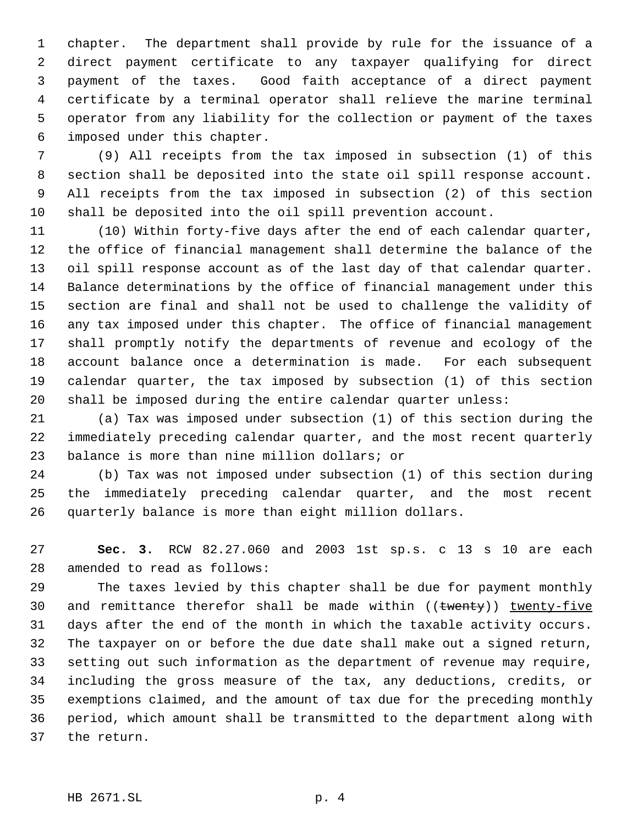chapter. The department shall provide by rule for the issuance of a direct payment certificate to any taxpayer qualifying for direct payment of the taxes. Good faith acceptance of a direct payment certificate by a terminal operator shall relieve the marine terminal operator from any liability for the collection or payment of the taxes imposed under this chapter.

 (9) All receipts from the tax imposed in subsection (1) of this section shall be deposited into the state oil spill response account. All receipts from the tax imposed in subsection (2) of this section shall be deposited into the oil spill prevention account.

 (10) Within forty-five days after the end of each calendar quarter, the office of financial management shall determine the balance of the oil spill response account as of the last day of that calendar quarter. Balance determinations by the office of financial management under this section are final and shall not be used to challenge the validity of any tax imposed under this chapter. The office of financial management shall promptly notify the departments of revenue and ecology of the account balance once a determination is made. For each subsequent calendar quarter, the tax imposed by subsection (1) of this section shall be imposed during the entire calendar quarter unless:

 (a) Tax was imposed under subsection (1) of this section during the immediately preceding calendar quarter, and the most recent quarterly balance is more than nine million dollars; or

 (b) Tax was not imposed under subsection (1) of this section during the immediately preceding calendar quarter, and the most recent quarterly balance is more than eight million dollars.

 **Sec. 3.** RCW 82.27.060 and 2003 1st sp.s. c 13 s 10 are each amended to read as follows:

 The taxes levied by this chapter shall be due for payment monthly 30 and remittance therefor shall be made within ((twenty)) twenty-five days after the end of the month in which the taxable activity occurs. The taxpayer on or before the due date shall make out a signed return, setting out such information as the department of revenue may require, including the gross measure of the tax, any deductions, credits, or exemptions claimed, and the amount of tax due for the preceding monthly period, which amount shall be transmitted to the department along with the return.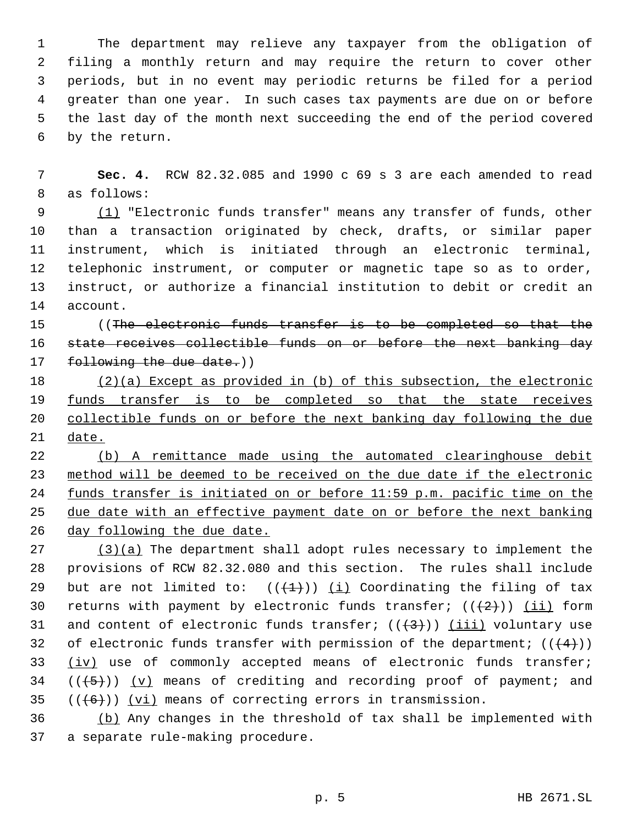The department may relieve any taxpayer from the obligation of filing a monthly return and may require the return to cover other periods, but in no event may periodic returns be filed for a period greater than one year. In such cases tax payments are due on or before the last day of the month next succeeding the end of the period covered by the return.

 **Sec. 4.** RCW 82.32.085 and 1990 c 69 s 3 are each amended to read as follows:

9 (1) "Electronic funds transfer" means any transfer of funds, other than a transaction originated by check, drafts, or similar paper instrument, which is initiated through an electronic terminal, telephonic instrument, or computer or magnetic tape so as to order, instruct, or authorize a financial institution to debit or credit an account.

15 (The electronic funds transfer is to be completed so that the state receives collectible funds on or before the next banking day 17 following the due date.))

 (2)(a) Except as provided in (b) of this subsection, the electronic 19 funds transfer is to be completed so that the state receives collectible funds on or before the next banking day following the due date.

 (b) A remittance made using the automated clearinghouse debit method will be deemed to be received on the due date if the electronic funds transfer is initiated on or before 11:59 p.m. pacific time on the due date with an effective payment date on or before the next banking day following the due date.

 $(3)(a)$  The department shall adopt rules necessary to implement the provisions of RCW 82.32.080 and this section. The rules shall include 29 but are not limited to:  $((+1))$   $(i)$  Coordinating the filing of tax 30 returns with payment by electronic funds transfer;  $((+2))$  (ii) form 31 and content of electronic funds transfer;  $((+3+))$  (iii) voluntary use 32 of electronic funds transfer with permission of the department;  $((+4))$ 33 (iv) use of commonly accepted means of electronic funds transfer;  $((+5))$   $(v)$  means of crediting and recording proof of payment; and  $((6)$ ) (vi) means of correcting errors in transmission.

 (b) Any changes in the threshold of tax shall be implemented with a separate rule-making procedure.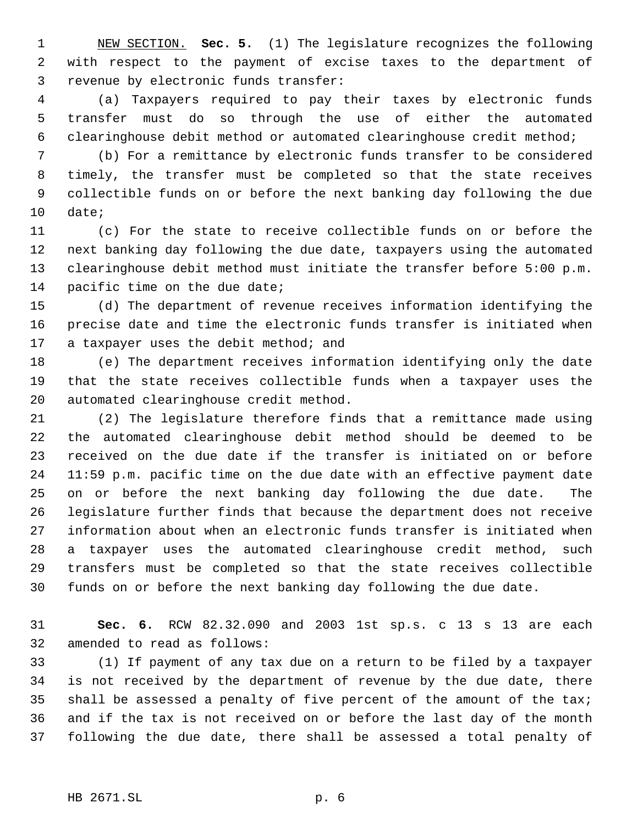NEW SECTION. **Sec. 5.** (1) The legislature recognizes the following with respect to the payment of excise taxes to the department of revenue by electronic funds transfer:

 (a) Taxpayers required to pay their taxes by electronic funds transfer must do so through the use of either the automated clearinghouse debit method or automated clearinghouse credit method;

 (b) For a remittance by electronic funds transfer to be considered timely, the transfer must be completed so that the state receives collectible funds on or before the next banking day following the due date;

 (c) For the state to receive collectible funds on or before the next banking day following the due date, taxpayers using the automated clearinghouse debit method must initiate the transfer before 5:00 p.m. 14 pacific time on the due date;

 (d) The department of revenue receives information identifying the precise date and time the electronic funds transfer is initiated when 17 a taxpayer uses the debit method; and

 (e) The department receives information identifying only the date that the state receives collectible funds when a taxpayer uses the automated clearinghouse credit method.

 (2) The legislature therefore finds that a remittance made using the automated clearinghouse debit method should be deemed to be received on the due date if the transfer is initiated on or before 11:59 p.m. pacific time on the due date with an effective payment date on or before the next banking day following the due date. The legislature further finds that because the department does not receive information about when an electronic funds transfer is initiated when a taxpayer uses the automated clearinghouse credit method, such transfers must be completed so that the state receives collectible funds on or before the next banking day following the due date.

 **Sec. 6.** RCW 82.32.090 and 2003 1st sp.s. c 13 s 13 are each amended to read as follows:

 (1) If payment of any tax due on a return to be filed by a taxpayer is not received by the department of revenue by the due date, there shall be assessed a penalty of five percent of the amount of the tax; and if the tax is not received on or before the last day of the month following the due date, there shall be assessed a total penalty of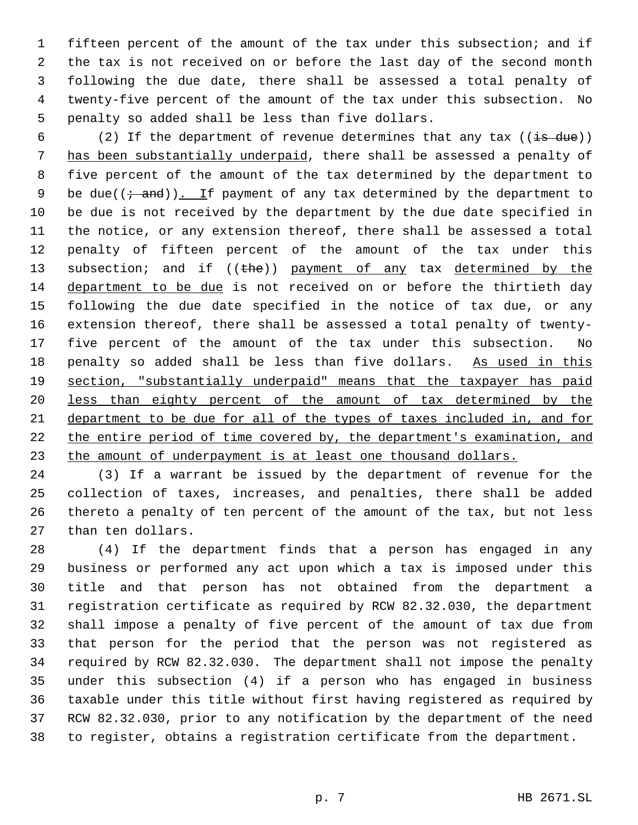fifteen percent of the amount of the tax under this subsection; and if the tax is not received on or before the last day of the second month following the due date, there shall be assessed a total penalty of twenty-five percent of the amount of the tax under this subsection. No penalty so added shall be less than five dollars.

6 (2) If the department of revenue determines that any tax  $((\frac{1}{18} - \frac{1}{18})$  has been substantially underpaid, there shall be assessed a penalty of five percent of the amount of the tax determined by the department to 9 be due( $(i \cdot$  and)). If payment of any tax determined by the department to be due is not received by the department by the due date specified in the notice, or any extension thereof, there shall be assessed a total penalty of fifteen percent of the amount of the tax under this 13 subsection; and if ((the)) payment of any tax determined by the department to be due is not received on or before the thirtieth day following the due date specified in the notice of tax due, or any extension thereof, there shall be assessed a total penalty of twenty- five percent of the amount of the tax under this subsection. No penalty so added shall be less than five dollars. As used in this section, "substantially underpaid" means that the taxpayer has paid less than eighty percent of the amount of tax determined by the department to be due for all of the types of taxes included in, and for 22 the entire period of time covered by, the department's examination, and 23 the amount of underpayment is at least one thousand dollars.

 (3) If a warrant be issued by the department of revenue for the collection of taxes, increases, and penalties, there shall be added thereto a penalty of ten percent of the amount of the tax, but not less than ten dollars.

 (4) If the department finds that a person has engaged in any business or performed any act upon which a tax is imposed under this title and that person has not obtained from the department a registration certificate as required by RCW 82.32.030, the department shall impose a penalty of five percent of the amount of tax due from that person for the period that the person was not registered as required by RCW 82.32.030. The department shall not impose the penalty under this subsection (4) if a person who has engaged in business taxable under this title without first having registered as required by RCW 82.32.030, prior to any notification by the department of the need to register, obtains a registration certificate from the department.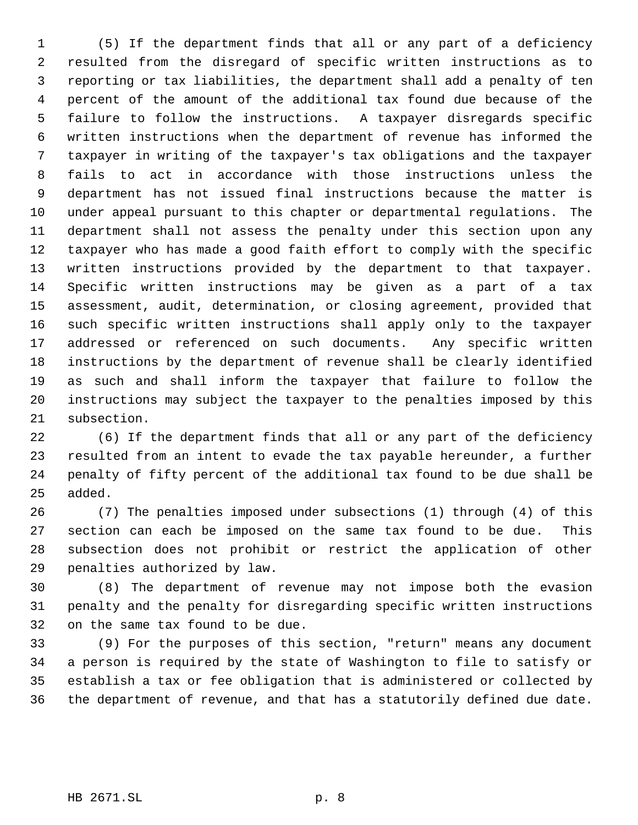(5) If the department finds that all or any part of a deficiency resulted from the disregard of specific written instructions as to reporting or tax liabilities, the department shall add a penalty of ten percent of the amount of the additional tax found due because of the failure to follow the instructions. A taxpayer disregards specific written instructions when the department of revenue has informed the taxpayer in writing of the taxpayer's tax obligations and the taxpayer fails to act in accordance with those instructions unless the department has not issued final instructions because the matter is under appeal pursuant to this chapter or departmental regulations. The department shall not assess the penalty under this section upon any taxpayer who has made a good faith effort to comply with the specific written instructions provided by the department to that taxpayer. Specific written instructions may be given as a part of a tax assessment, audit, determination, or closing agreement, provided that such specific written instructions shall apply only to the taxpayer addressed or referenced on such documents. Any specific written instructions by the department of revenue shall be clearly identified as such and shall inform the taxpayer that failure to follow the instructions may subject the taxpayer to the penalties imposed by this subsection.

 (6) If the department finds that all or any part of the deficiency resulted from an intent to evade the tax payable hereunder, a further penalty of fifty percent of the additional tax found to be due shall be added.

 (7) The penalties imposed under subsections (1) through (4) of this section can each be imposed on the same tax found to be due. This subsection does not prohibit or restrict the application of other penalties authorized by law.

 (8) The department of revenue may not impose both the evasion penalty and the penalty for disregarding specific written instructions on the same tax found to be due.

 (9) For the purposes of this section, "return" means any document a person is required by the state of Washington to file to satisfy or establish a tax or fee obligation that is administered or collected by the department of revenue, and that has a statutorily defined due date.